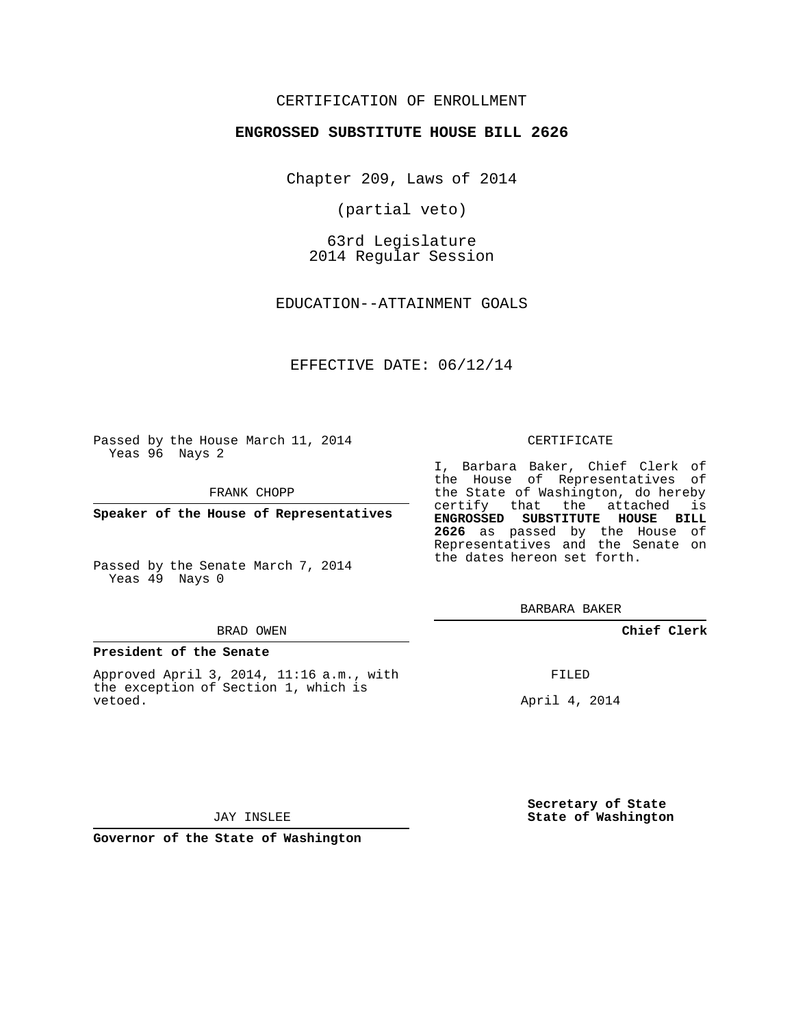## CERTIFICATION OF ENROLLMENT

### **ENGROSSED SUBSTITUTE HOUSE BILL 2626**

Chapter 209, Laws of 2014

(partial veto)

63rd Legislature 2014 Regular Session

EDUCATION--ATTAINMENT GOALS

EFFECTIVE DATE: 06/12/14

Passed by the House March 11, 2014 Yeas 96 Nays 2

FRANK CHOPP

**Speaker of the House of Representatives**

Passed by the Senate March 7, 2014 Yeas 49 Nays 0

#### **President of the Senate**

Approved April 3, 2014, 11:16 a.m., with the exception of Section 1, which is vetoed.

CERTIFICATE

I, Barbara Baker, Chief Clerk of the House of Representatives of the State of Washington, do hereby certify that the attached is **ENGROSSED SUBSTITUTE HOUSE BILL 2626** as passed by the House of Representatives and the Senate on the dates hereon set forth.

BARBARA BAKER

**Chief Clerk**

FILED

April 4, 2014

**Secretary of State State of Washington**

JAY INSLEE

**Governor of the State of Washington**

# BRAD OWEN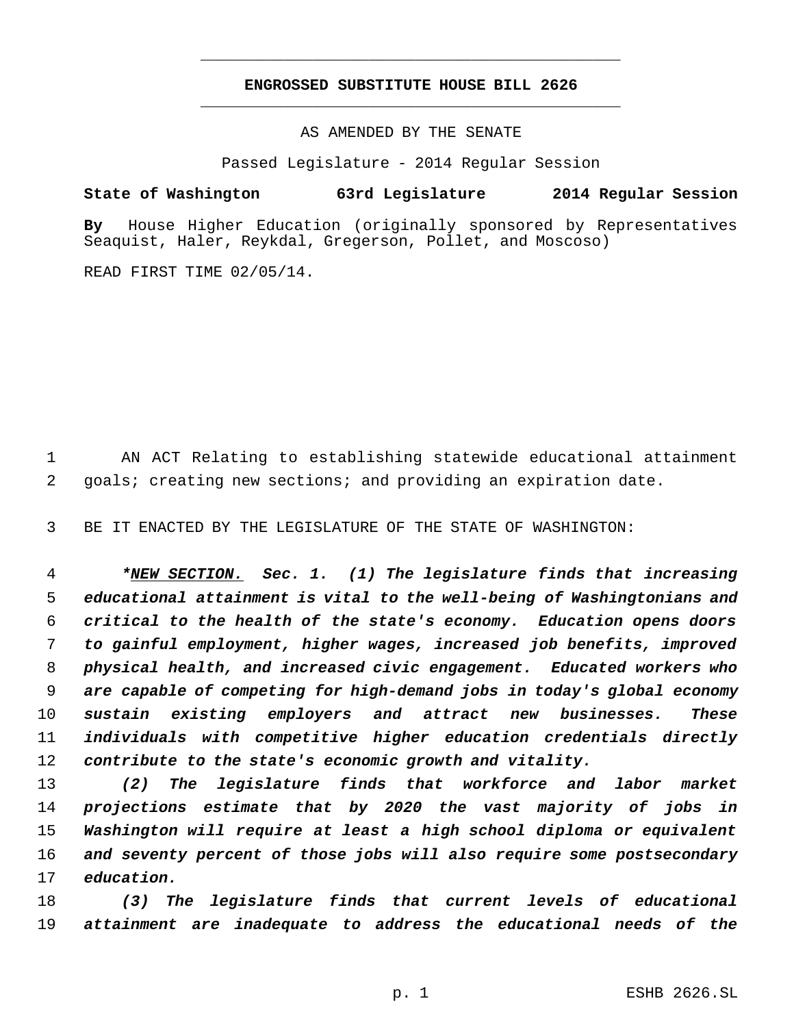## **ENGROSSED SUBSTITUTE HOUSE BILL 2626** \_\_\_\_\_\_\_\_\_\_\_\_\_\_\_\_\_\_\_\_\_\_\_\_\_\_\_\_\_\_\_\_\_\_\_\_\_\_\_\_\_\_\_\_\_

\_\_\_\_\_\_\_\_\_\_\_\_\_\_\_\_\_\_\_\_\_\_\_\_\_\_\_\_\_\_\_\_\_\_\_\_\_\_\_\_\_\_\_\_\_

AS AMENDED BY THE SENATE

Passed Legislature - 2014 Regular Session

## **State of Washington 63rd Legislature 2014 Regular Session**

**By** House Higher Education (originally sponsored by Representatives Seaquist, Haler, Reykdal, Gregerson, Pollet, and Moscoso)

READ FIRST TIME 02/05/14.

 AN ACT Relating to establishing statewide educational attainment goals; creating new sections; and providing an expiration date.

BE IT ENACTED BY THE LEGISLATURE OF THE STATE OF WASHINGTON:

 *\*NEW SECTION. Sec. 1. (1) The legislature finds that increasing educational attainment is vital to the well-being of Washingtonians and critical to the health of the state's economy. Education opens doors to gainful employment, higher wages, increased job benefits, improved physical health, and increased civic engagement. Educated workers who are capable of competing for high-demand jobs in today's global economy sustain existing employers and attract new businesses. These individuals with competitive higher education credentials directly contribute to the state's economic growth and vitality.*

 *(2) The legislature finds that workforce and labor market projections estimate that by 2020 the vast majority of jobs in Washington will require at least a high school diploma or equivalent and seventy percent of those jobs will also require some postsecondary education.*

 *(3) The legislature finds that current levels of educational attainment are inadequate to address the educational needs of the*